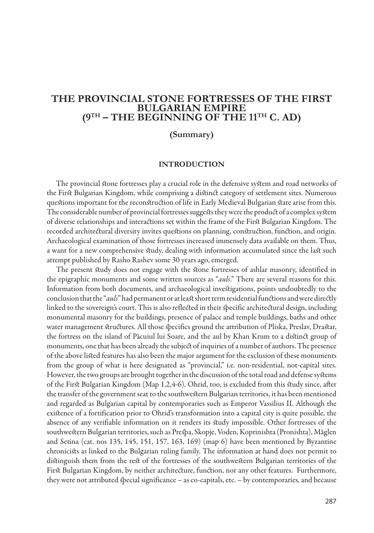## **The Provincial Stone Fortresses of the First Bulgarian empire (9th – the beginning of the 11th c. AD)**

### **(Summary)**

#### **Introduction**

The provincial stone fortresses play a crucial role in the defensive system and road networks of the First Bulgarian Kingdom, while comprising a distinct category of settlement sites. Numerous questions important for the reconstruction of life in Early Medieval Bulgarian state arise from this. The considerable number of provincial fortresses suggests they were the product of a complex system of diverse relationships and interactions set within the frame of the First Bulgarian Kingdom. The recorded architectural diversity invites questions on planning, construction, function, and origin. Archaeological examination of those fortresses increased immensely data available on them. Thus, a want for a new comprehensive study, dealing with information accumulated since the last such attempt published by Rasho Rashev some 30 years ago, emerged.

The present study does not engage with the stone fortresses of ashlar masonry, identified in the epigraphic monuments and some written sources as "*auls*." There are several reasons for this. Information from both documents, and archaeological investigations, points undoubtedly to the conclusion that the "*auls*" had permanent or at least short term residential functions and were directly linked to the sovereign's court. This is also reflected in their specific architectural design, including monumental masonry for the buildings, presence of palace and temple buildings, baths and other water management structures. All those specifics ground the attribution of Pliska, Preslav, Drastar, the fortress on the island of Păcuiul lui Soare, and the aul by Khan Krum to a distinct group of monuments, one that has been already the subject of inquiries of a number of authors. The presence of the above listed features has also been the major argument for the exclusion of these monuments from the group of what is here designated as "provincial," i.e. non-residential, not-capital sites. However, the two groups are brought together in the discussion of the total road and defense systems of the First Bulgarian Kingdom (Map 1,2,4-6). Ohrid, too, is excluded from this study since, after the transfer of the government seat to the southwestern Bulgarian territories, it has been mentioned and regarded as Bulgarian capital by contemporaries such as Emperor Vassilius II. Although the existence of a fortification prior to Ohrid's transformation into a capital city is quite possible, the absence of any verifiable information on it renders its study impossible. Other fortresses of the southwestern Bulgarian territories, such as Prespa, Skopje,Voden, Koprinishta (Pronishta), Măglen and Setina (cat. nos 135, 145, 151, 157, 163, 169) (map 6) have been mentioned by Byzantine chronicists as linked to the Bulgarian ruling family. The information at hand does not permit to distinguish them from the rest of the fortresses of the southwestern Bulgarian territories of the First Bulgarian Kingdom, by neither architecture, function, nor any other features. Furthermore, they were not attributed special significance – as co-capitals, etc. – by contemporaries, and because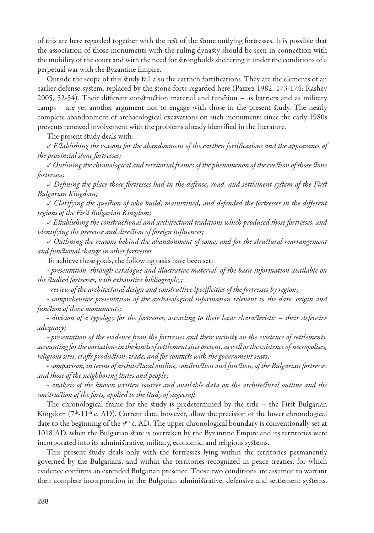of this are here regarded together with the rest of the stone outlying fortresses. It is possible that the association of those monuments with the ruling dynasty should be seen in connection with the mobility of the court and with the need for strongholds sheltering it under the conditions of a perpetual war with the Byzantine Empire.

Outside the scope of this study fall also the earthen fortifications. They are the elements of an earlier defense system, replaced by the stone forts regarded here (Рашев 1982, 173-174; Rashev 2005, 52-54). Their different construction material and function – as barriers and as military camps – are yet another argument not to engage with those in the present study. The nearly complete abandonment of archaeological excavations on such monuments since the early 1980s prevents renewed involvement with the problems already identified in the literature.

The present study deals with:

✓ *Establishing the reasons for the abandonment of the earthen fortifications and the appearance of the provincial stone fortresses;*

*✓ Outlining the chronological and territorial frames of the phenomenon of the erection of those stone fortresses;*

*✓ Defining the place those fortresses had in the defense, road, and settlement system of the First Bulgarian Kingdom;*

*✓ Clarifying the question of who build, maintained, and defended the fortresses in the different regions of the First Bulgarian Kingdom;*

*✓ Establishing the constructional and architectural traditions which produced those fortresses, and identifying the presence and direction of foreign influences;*

*✓ Outlining the reasons behind the abandonment of some, and for the structural rearrangement and functional change in other fortresses.*

To achieve these goals, the following tasks have been set:

*- presentation, through catalogue and illustrative material, of the basic information available on the studied fortresses, with exhaustive bibliography;*

*- review of the architectural design and constructive specificities of the fortresses by region;*

*- comprehensive presentation of the archaeological information relevant to the date, origin and function of those monuments;*

*- division of a typology for the fortresses, according to their basic characteristic – their defensive adequacy;*

*- presentation of the evidence from the fortresses and their vicinity on the existence of settlements, accounting for the variations in the kinds of settlement sites present, as well as the existence of necropolises, religious sites, crafts production, trade, and for contacts with the government seats;*

*- comparison, in terms of architectural outline, construction and function, of the Bulgarian fortresses and those of the neighboring states and people;*

*- analysis of the known written sources and available data on the architectural outline and the construction of the forts, applied to the study of siegecraft.*

The chronological frame for the study is predetermined by the title – the First Bulgarian Kingdom ( $7<sup>th</sup>$ -11<sup>th</sup> c. AD). Current data, however, allow the precision of the lower chronological date to the beginning of the 9<sup>th</sup> c. AD. The upper chronological boundary is conventionally set at 1018 AD, when the Bulgarian state is overtaken by the Byzantine Empire and its territories were incorporated into its administrative, military, economic, and religious systems.

This present study deals only with the fortresses lying within the territories permanently governed by the Bulgarians, and within the territories recognized in peace treaties, for which evidence confirms an extended Bulgarian presence. Those two conditions are assumed to warrant their complete incorporation in the Bulgarian administrative, defensive and settlement systems.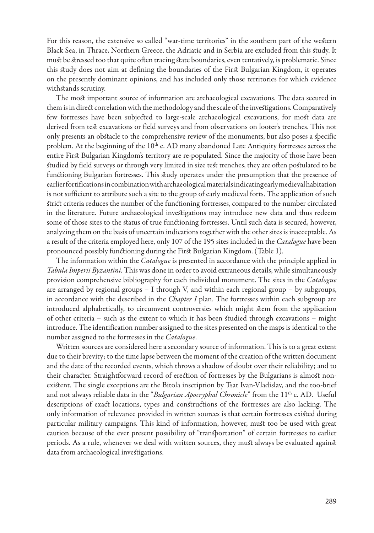For this reason, the extensive so called "war-time territories" in the southern part of the western Black Sea, in Thrace, Northern Greece, the Adriatic and in Serbia are excluded from this study. It must be stressed too that quite often tracing state boundaries, even tentatively, is problematic. Since this study does not aim at defining the boundaries of the First Bulgarian Kingdom, it operates on the presently dominant opinions, and has included only those territories for which evidence withstands scrutiny.

The most important source of information are archaeological excavations. The data secured in them is in direct correlation with the methodology and the scale of the investigations. Comparatively few fortresses have been subjected to large-scale archaeological excavations, for most data are derived from test excavations or field surveys and from observations on looter's trenches. This not only presents an obstacle to the comprehensive review of the monuments, but also poses a specific problem. At the beginning of the 10<sup>th</sup> c. AD many abandoned Late Antiquity fortresses across the entire First Bulgarian Kingdom's territory are re-populated. Since the majority of those have been studied by field surveys or through very limited in size test trenches, they are often postulated to be functioning Bulgarian fortresses. This study operates under the presumption that the presence of earlier fortifications in combination with archaeological materials indicating early medieval habitation is not sufficient to attribute such a site to the group of early medieval forts. The application of such strict criteria reduces the number of the functioning fortresses, compared to the number circulated in the literature. Future archaeological investigations may introduce new data and thus redeem some of those sites to the status of true functioning fortresses. Until such data is secured, however, analyzing them on the basis of uncertain indications together with the other sites is inacceptable. As a result of the criteria employed here, only 107 of the 195 sites included in the *Catalogue* have been pronounced possibly functioning during the First Bulgarian Kingdom. (Table 1).

The information within the *Catalogue* is presented in accordance with the principle applied in *Tabula Imperii Byzantini*. This was done in order to avoid extraneous details, while simultaneously provision comprehensive bibliography for each individual monument. The sites in the *Catalogue* are arranged by regional groups – I through V, and within each regional group – by subgroups, in accordance with the described in the *Chapter I* plan. The fortresses within each subgroup are introduced alphabetically, to circumvent controversies which might stem from the application of other criteria – such as the extent to which it has been studied through excavations – might introduce. The identification number assigned to the sites presented on the maps is identical to the number assigned to the fortresses in the *Catalogue*.

Written sources are considered here a secondary source of information. This is to a great extent due to their brevity; to the time lapse between the moment of the creation of the written document and the date of the recorded events, which throws a shadow of doubt over their reliability; and to their character. Straightforward record of erection of fortresses by the Bulgarians is almost nonexistent. The single exceptions are the Bitola inscription by Tsar Ivan-Vladislav, and the too-brief and not always reliable data in the "*Bulgarian Apocryphal Chronicle*" from the 11<sup>th</sup> c. AD. Useful descriptions of exact locations, types and constructions of the fortresses are also lacking. The only information of relevance provided in written sources is that certain fortresses existed during particular military campaigns. This kind of information, however, must too be used with great caution because of the ever present possibility of "transportation" of certain fortresses to earlier periods. As a rule, whenever we deal with written sources, they must always be evaluated against data from archaeological investigations.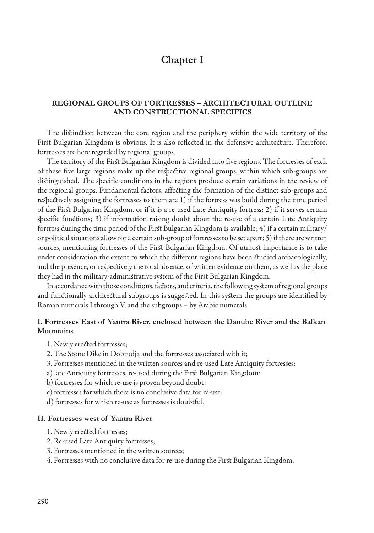# **Chapter I**

### **Regional groups of fortresses – architectural outline and constructional specifics**

The distinction between the core region and the periphery within the wide territory of the First Bulgarian Kingdom is obvious. It is also reflected in the defensive architecture. Therefore, fortresses are here regarded by regional groups.

The territory of the First Bulgarian Kingdom is divided into five regions. The fortresses of each of these five large regions make up the respective regional groups, within which sub-groups are distinguished. The specific conditions in the regions produce certain variations in the review of the regional groups. Fundamental factors, affecting the formation of the distinct sub-groups and respectively assigning the fortresses to them are 1) if the fortress was build during the time period of the First Bulgarian Kingdom, or if it is a re-used Late-Antiquity fortress; 2) if it serves certain specific functions; 3) if information raising doubt about the re-use of a certain Late Antiquity fortress during the time period of the First Bulgarian Kingdom is available; 4) if a certain military/ or political situations allow for a certain sub-group of fortresses to be set apart; 5) if there are written sources, mentioning fortresses of the First Bulgarian Kingdom. Of utmost importance is to take under consideration the extent to which the different regions have been studied archaeologically, and the presence, or respectively the total absence, of written evidence on them, as well as the place they had in the military-administrative system of the First Bulgarian Kingdom.

In accordance with those conditions, factors, and criteria, the following system of regional groups and functionally-architectural subgroups is suggested. In this system the groups are identified by Roman numerals I through V, and the subgroups – by Arabic numerals.

## **I. Fortresses East of Yantra River, enclosed between the Danube River and the Balkan Mountains**

- 1. Newly erected fortresses;
- 2. The Stone Dike in Dobrudja and the fortresses associated with it;
- 3. Fortresses mentioned in the written sources and re-used Late Antiquity fortresses;
- a) late Antiquity fortresses, re-used during the First Bulgarian Kingdom:
- b) fortresses for which re-use is proven beyond doubt;
- c) fortresses for which there is no conclusive data for re-use;
- d) fortresses for which re-use as fortresses is doubtful.

#### **II. Fortresses west of Yantra River**

- 1. Newly erected fortresses;
- 2. Re-used Late Antiquity fortresses;
- 3. Fortresses mentioned in the written sources;
- 4. Fortresses with no conclusive data for re-use during the First Bulgarian Kingdom.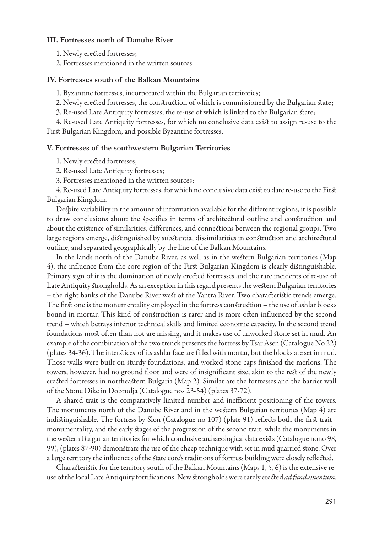#### **ІІІ. Fortresses north of Danube River**

1. Newly erected fortresses;

2. Fortresses mentioned in the written sources.

#### **ІV. Fortresses south of the Balkan Mountains**

1. Byzantine fortresses, incorporated within the Bulgarian territories;

2. Newly erected fortresses, the construction of which is commissioned by the Bulgarian state;

3. Re-used Late Antiquity fortresses, the re-use of which is linked to the Bulgarian state;

4. Re-used Late Antiquity fortresses, for which no conclusive data exist to assign re-use to the First Bulgarian Kingdom, and possible Byzantine fortresses.

#### **V. Fortresses of the southwestern Bulgarian Territories**

1. Newly erected fortresses;

- 2. Re-used Late Antiquity fortresses;
- 3. Fortresses mentioned in the written sources;

4. Re-used Late Antiquity fortresses, for which no conclusive data exist to date re-use to the First Bulgarian Kingdom.

Despite variability in the amount of information available for the different regions, it is possible to draw conclusions about the specifics in terms of architectural outline and construction and about the existence of similarities, differences, and connections between the regional groups. Two large regions emerge, distinguished by substantial dissimilarities in construction and architectural outline, and separated geographically by the line of the Balkan Mountains.

In the lands north of the Danube River, as well as in the western Bulgarian territories (Map 4), the influence from the core region of the First Bulgarian Kingdom is clearly distinguishable. Primary sign of it is the domination of newly erected fortresses and the rare incidents of re-use of Late Antiquity strongholds. As an exception in this regard presents the western Bulgarian territories – the right banks of the Danube River west of the Yantra River. Two characteristic trends emerge. The first one is the monumentality employed in the fortress construction – the use of ashlar blocks bound in mortar. This kind of construction is rarer and is more often influenced by the second trend – which betrays inferior technical skills and limited economic capacity. In the second trend foundations most often than not are missing, and it makes use of unworked stone set in mud. An example of the combination of the two trends presents the fortress by Tsar Asen (Catalogue No 22) (plates 34-36). The interstices of its ashlar face are filled with mortar, but the blocks are set in mud. Those walls were built on sturdy foundations, and worked stone caps finished the merlons. The towers, however, had no ground floor and were of insignificant size, akin to the rest of the newly erected fortresses in northeastern Bulgaria (Map 2). Similar are the fortresses and the barrier wall of the Stone Dike in Dobrudja (Catalogue nos 23-54) (plates 37-72).

A shared trait is the comparatively limited number and inefficient positioning of the towers. The monuments north of the Danube River and in the western Bulgarian territories (Map 4) are indistinguishable. The fortress by Slon (Catalogue no 107) (plate 91) reflects both the first trait monumentality, and the early stages of the progression of the second trait, while the monuments in the western Bulgarian territories for which conclusive archaeological data exists (Catalogue nono 98, 99), (plates 87-90) demonstrate the use of the cheep technique with set in mud quarried stone. Over a large territory the influences of the state core's traditions of fortress building were closely reflected.

Characteristic for the territory south of the Balkan Mountains (Maps 1, 5, 6) is the extensive reuse of the local Late Antiquity fortifications. New strongholds were rarely erected *ad fundamentum*.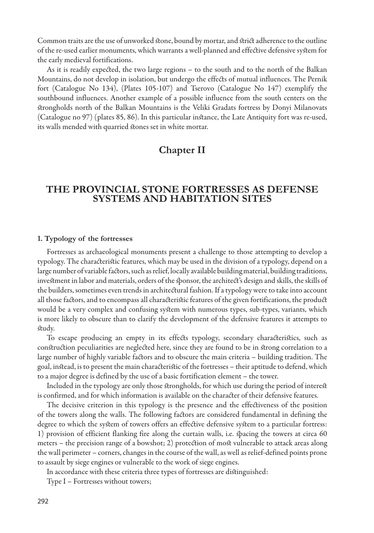Common traits are the use of unworked stone, bound by mortar, and strict adherence to the outline of the re-used earlier monuments, which warrants a well-planned and effective defensive system for the early medieval fortifications.

As it is readily expected, the two large regions – to the south and to the north of the Balkan Mountains, do not develop in isolation, but undergo the effects of mutual influences. The Pernik fort (Catalogue No 134), (Plates 105-107) and Tserovo (Catalogue No 147) exemplify the southbound influences. Another example of a possible influence from the south centers on the strongholds north of the Balkan Mountains is the Veliki Gradats fortress by Donyi Milanovats (Catalogue no 97) (plates 85, 86). In this particular instance, the Late Antiquity fort was re-used, its walls mended with quarried stones set in white mortar.

# **Chapter II**

## **The provincial stone fortresses as defense systems and habitation sites**

#### **1. Typology of the fortresses**

Fortresses as archaeological monuments present a challenge to those attempting to develop a typology. The characteristic features, which may be used in the division of a typology, depend on a large number of variable factors, such as relief, locally available building material, building traditions, investment in labor and materials, orders of the sponsor, the architect's design and skills, the skills of the builders, sometimes even trends in architectural fashion. If a typology were to take into account all those factors, and to encompass all characteristic features of the given fortifications, the product would be a very complex and confusing system with numerous types, sub-types, variants, which is more likely to obscure than to clarify the development of the defensive features it attempts to study.

To escape producing an empty in its effects typology, secondary characteristics, such as construction peculiarities are neglected here, since they are found to be in strong correlation to a large number of highly variable factors and to obscure the main criteria – building tradition. The goal, instead, is to present the main characteristic of the fortresses – their aptitude to defend, which to a major degree is defined by the use of a basic fortification element – the tower.

Included in the typology are only those strongholds, for which use during the period of interest is confirmed, and for which information is available on the character of their defensive features.

The decisive criterion in this typology is the presence and the effectiveness of the position of the towers along the walls. The following factors are considered fundamental in defining the degree to which the system of towers offers an effective defensive system to a particular fortress: 1) provision of efficient flanking fire along the curtain walls, i.e. spacing the towers at circa 60 meters – the precision range of a bowshot; 2) protection of most vulnerable to attack areas along the wall perimeter – corners, changes in the course of the wall, as well as relief-defined points prone to assault by siege engines or vulnerable to the work of siege engines.

In accordance with these criteria three types of fortresses are distinguished:

Type I – Fortresses without towers;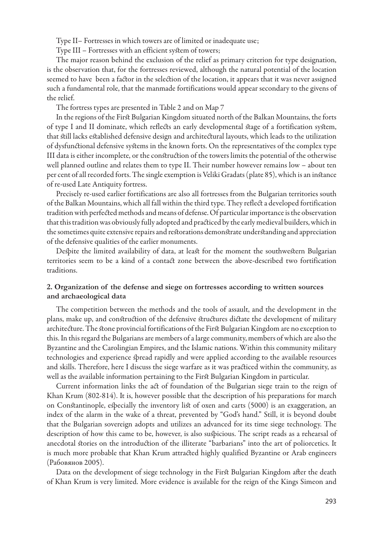Type II– Fortresses in which towers are of limited or inadequate use;

Type III – Fortresses with an efficient system of towers;

The major reason behind the exclusion of the relief as primary criterion for type designation, is the observation that, for the fortresses reviewed, although the natural potential of the location seemed to have been a factor in the selection of the location, it appears that it was never assigned such a fundamental role, that the manmade fortifications would appear secondary to the givens of the relief.

The fortress types are presented in Table 2 and on Map 7

In the regions of the First Bulgarian Kingdom situated north of the Balkan Mountains, the forts of type I and II dominate, which reflects an early developmental stage of a fortification system, that still lacks established defensive design and architectural layouts, which leads to the utilization of dysfunctional defensive systems in the known forts. On the representatives of the complex type III data is either incomplete, or the construction of the towers limits the potential of the otherwise well planned outline and relates them to type II. Their number however remains low – about ten per cent of all recorded forts. The single exemption is Veliki Gradats (plate 85), which is an instance of re-used Late Antiquity fortress.

Precisely re-used earlier fortifications are also all fortresses from the Bulgarian territories south of the Balkan Mountains, which all fall within the third type. They reflect a developed fortification tradition with perfected methods and means of defense. Of particular importance is the observation that this tradition was obviously fully adopted and practiced by the early medieval builders, which in the sometimes quite extensive repairs and restorations demonstrate understanding and appreciation of the defensive qualities of the earlier monuments.

Despite the limited availability of data, at least for the moment the southwestern Bulgarian territories seem to be a kind of a contact zone between the above-described two fortification traditions.

## **2. Organization of the defense and siege on fortresses according to written sources and archaeological data**

The competition between the methods and the tools of assault, and the development in the plans, make up, and construction of the defensive structures dictate the development of military architecture. The stone provincial fortifications of the First Bulgarian Kingdom are no exception to this. In this regard the Bulgarians are members of a large community, members of which are also the Byzantine and the Carolingian Empires, and the Islamic nations. Within this community military technologies and experience spread rapidly and were applied according to the available resources and skills. Therefore, here I discuss the siege warfare as it was practiced within the community, as well as the available information pertaining to the First Bulgarian Kingdom in particular.

Current information links the act of foundation of the Bulgarian siege train to the reign of Khan Krum (802-814). It is, however possible that the description of his preparations for march on Constantinople, especially the inventory list of oxen and carts (5000) is an exaggeration, an index of the alarm in the wake of a threat, prevented by "God's hand." Still, it is beyond doubt that the Bulgarian sovereign adopts and utilizes an advanced for its time siege technology. The description of how this came to be, however, is also suspicious. The script reads as a rehearsal of anecdotal stories on the introduction of the illiterate "barbarians" into the art of poliorcetics. It is much more probable that Khan Krum attracted highly qualified Byzantine or Arab engineers (Рабовянов 2005).

Data on the development of siege technology in the First Bulgarian Kingdom after the death of Khan Krum is very limited. More evidence is available for the reign of the Kings Simeon and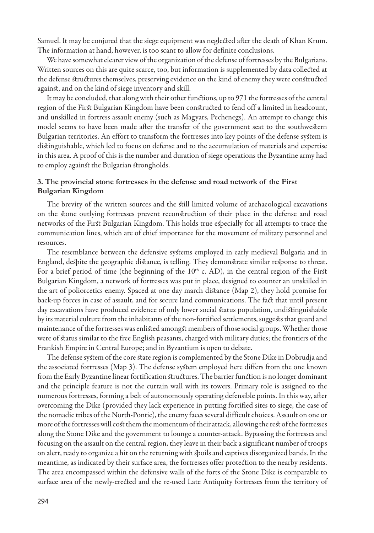Samuel. It may be conjured that the siege equipment was neglected after the death of Khan Krum. The information at hand, however, is too scant to allow for definite conclusions.

We have somewhat clearer view of the organization of the defense of fortresses by the Bulgarians. Written sources on this are quite scarce, too, but information is supplemented by data collected at the defense structures themselves, preserving evidence on the kind of enemy they were constructed against, and on the kind of siege inventory and skill.

It may be concluded, that along with their other functions, up to 971 the fortresses of the central region of the First Bulgarian Kingdom have been constructed to fend off a limited in headcount, and unskilled in fortress assault enemy (such as Magyars, Pechenegs). An attempt to change this model seems to have been made after the transfer of the government seat to the southwestern Bulgarian territories. An effort to transform the fortresses into key points of the defense system is distinguishable, which led to focus on defense and to the accumulation of materials and expertise in this area. A proof of this is the number and duration of siege operations the Byzantine army had to employ against the Bulgarian strongholds.

### **3. The provincial stone fortresses in the defense and road network of the First Bulgarian Kingdom**

The brevity of the written sources and the still limited volume of archaeological excavations on the stone outlying fortresses prevent reconstruction of their place in the defense and road networks of the First Bulgarian Kingdom. This holds true especially for all attempts to trace the communication lines, which are of chief importance for the movement of military personnel and resources.

The resemblance between the defensive systems employed in early medieval Bulgaria and in England, despite the geographic distance, is telling. They demonstrate similar response to threat. For a brief period of time (the beginning of the  $10<sup>th</sup>$  c. AD), in the central region of the First Bulgarian Kingdom, a network of fortresses was put in place, designed to counter an unskilled in the art of poliorcetics enemy. Spaced at one day march distance (Map 2), they hold promise for back-up forces in case of assault, and for secure land communications. The fact that until present day excavations have produced evidence of only lower social status population, undistinguishable by its material culture from the inhabitants of the non-fortified settlements, suggests that guard and maintenance of the fortresses was enlisted amongst members of those social groups. Whether those were of status similar to the free English peasants, charged with military duties; the frontiers of the Frankish Empire in Central Europe; and in Byzantium is open to debate.

The defense system of the core state region is complemented by the Stone Dike in Dobrudja and the associated fortresses (Map 3). The defense system employed here differs from the one known from the Early Byzantine linear fortification structures. The barrier function is no longer dominant and the principle feature is not the curtain wall with its towers. Primary role is assigned to the numerous fortresses, forming a belt of autonomously operating defensible points. In this way, after overcoming the Dike (provided they lack experience in putting fortified sites to siege, the case of the nomadic tribes of the North-Pontic), the enemy faces several difficult choices. Assault on one or more of the fortresses will cost them the momentum of their attack, allowing the rest of the fortresses along the Stone Dike and the government to lounge a counter-attack. Bypassing the fortresses and focusing on the assault on the central region, they leave in their back a significant number of troops on alert, ready to organize a hit on the returning with spoils and captives disorganized bands. In the meantime, as indicated by their surface area, the fortresses offer protection to the nearby residents. The area encompassed within the defensive walls of the forts of the Stone Dike is comparable to surface area of the newly-erected and the re-used Late Antiquity fortresses from the territory of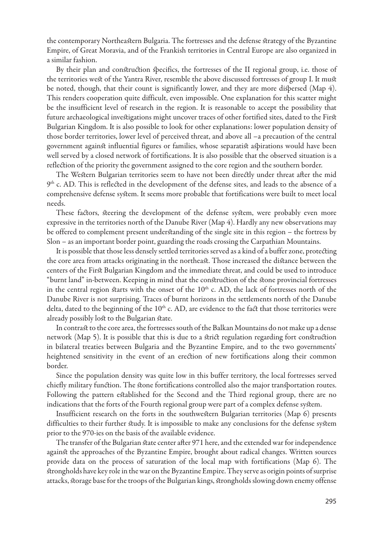the contemporary Northeastern Bulgaria. The fortresses and the defense strategy of the Byzantine Empire, of Great Moravia, and of the Frankish territories in Central Europe are also organized in a similar fashion.

By their plan and construction specifics, the fortresses of the II regional group, i.e. those of the territories west of the Yantra River, resemble the above discussed fortresses of group I. It must be noted, though, that their count is significantly lower, and they are more dispersed (Map 4). This renders cooperation quite difficult, even impossible. One explanation for this scatter might be the insufficient level of research in the region. It is reasonable to accept the possibility that future archaeological investigations might uncover traces of other fortified sites, dated to the First Bulgarian Kingdom. It is also possible to look for other explanations: lower population density of those border territories, lower level of perceived threat, and above all –a precaution of the central government against influential figures or families, whose separatist aspirations would have been well served by a closed network of fortifications. It is also possible that the observed situation is a reflection of the priority the government assigned to the core region and the southern border.

The Western Bulgarian territories seem to have not been directly under threat after the mid  $9<sup>th</sup>$  c. AD. This is reflected in the development of the defense sites, and leads to the absence of a comprehensive defense system. It seems more probable that fortifications were built to meet local needs.

These factors, steering the development of the defense system, were probably even more expressive in the territories north of the Danube River (Map 4). Hardly any new observations may be offered to complement present understanding of the single site in this region – the fortress by Slon – as an important border point, guarding the roads crossing the Carpathian Mountains.

It is possible that those less densely settled territories served as a kind of a buffer zone, protecting the core area from attacks originating in the northeast. Those increased the distance between the centers of the First Bulgarian Kingdom and the immediate threat, and could be used to introduce "burnt land" in-between. Keeping in mind that the construction of the stone provincial fortresses in the central region starts with the onset of the  $10<sup>th</sup>$  c. AD, the lack of fortresses north of the Danube River is not surprising. Traces of burnt horizons in the settlements north of the Danube delta, dated to the beginning of the  $10<sup>th</sup>$  c. AD, are evidence to the fact that those territories were already possibly lost to the Bulgarian state.

In contrast to the core area, the fortresses south of the Balkan Mountains do not make up a dense network (Map 5). It is possible that this is due to a strict regulation regarding fort construction in bilateral treaties between Bulgaria and the Byzantine Empire, and to the two governments' heightened sensitivity in the event of an erection of new fortifications along their common border.

Since the population density was quite low in this buffer territory, the local fortresses served chiefly military function. The stone fortifications controlled also the major transportation routes. Following the pattern established for the Second and the Third regional group, there are no indications that the forts of the Fourth regional group were part of a complex defense system.

Insufficient research on the forts in the southwestern Bulgarian territories (Map 6) presents difficulties to their further study. It is impossible to make any conclusions for the defense system prior to the 970-ies on the basis of the available evidence.

The transfer of the Bulgarian state center after 971 here, and the extended war for independence against the approaches of the Byzantine Empire, brought about radical changes. Written sources provide data on the process of saturation of the local map with fortifications (Map 6). The strongholds have key role in the war on the Byzantine Empire. They serve as origin points of surprise attacks, storage base for the troops of the Bulgarian kings, strongholds slowing down enemy offense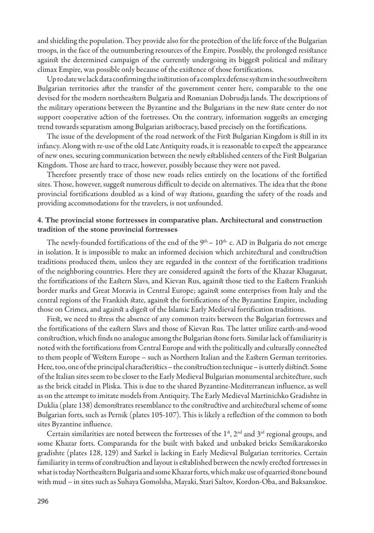and shielding the population. They provide also for the protection of the life force of the Bulgarian troops, in the face of the outnumbering resources of the Empire. Possibly, the prolonged resistance against the determined campaign of the currently undergoing its biggest political and military climax Empire, was possible only because of the existence of those fortifications.

Up to date we lack data confirming the institution of a complex defense system in the southwestern Bulgarian territories after the transfer of the government center here, comparable to the one devised for the modern northeastern Bulgaria and Romanian Dobrudja lands. The descriptions of the military operations between the Byzantine and the Bulgarians in the new state center do not support cooperative action of the fortresses. On the contrary, information suggests an emerging trend towards separatism among Bulgarian aristocracy, based precisely on the fortifications.

The issue of the development of the road network of the First Bulgarian Kingdom is still in its infancy. Along with re-use of the old Late Antiquity roads, it is reasonable to expect the appearance of new ones, securing communication between the newly established centers of the First Bulgarian Kingdom. Those are hard to trace, however, possibly because they were not paved.

Therefore presently trace of those new roads relies entirely on the locations of the fortified sites. Those, however, suggest numerous difficult to decide on alternatives. The idea that the stone provincial fortifications doubled as a kind of way stations, guarding the safety of the roads and providing accommodations for the travelers, is not unfounded.

#### **4. The provincial stone fortresses in comparative plan. Architectural and construction tradition of the stone provincial fortresses**

The newly-founded fortifications of the end of the  $9<sup>th</sup> - 10<sup>th</sup>$  c. AD in Bulgaria do not emerge in isolation. It is impossible to make an informed decision which architectural and construction traditions produced them, unless they are regarded in the context of the fortification traditions of the neighboring countries. Here they are considered against the forts of the Khazar Khaganat, the fortifications of the Eastern Slavs, and Kievan Rus, against those tied to the Eastern Frankish border marks and Great Moravia in Central Europe; against some enterprises from Italy and the central regions of the Frankish state, against the fortifications of the Byzantine Empire, including those on Crimea, and against a digest of the Islamic Early Medieval fortification traditions.

First, we need to stress the absence of any common traits between the Bulgarian fortresses and the fortifications of the eastern Slavs and those of Kievan Rus. The latter utilize earth-and-wood construction, which finds no analogue among the Bulgarian stone forts. Similar lack of familiarity is noted with the fortifications from Central Europe and with the politically and culturally connected to them people of Western Europe – such as Northern Italian and the Eastern German territories. Here, too, one of the principal characteristics – the construction technique – is utterly distinct. Some of the Italian sites seem to be closer to the Early Medieval Bulgarian monumental architecture, such as the brick citadel in Pliska. This is due to the shared Byzantine-Mediterranean influence, as well as on the attempt to imitate models from Antiquity. The Early Medieval Martinichko Gradishte in Duklia (plate 138) demonstrates resemblance to the constructive and architectural scheme of some Bulgarian forts, such as Pernik (plates 105-107). This is likely a reflection of the common to both sites Byzantine influence.

Certain similarities are noted between the fortresses of the  $1<sup>st</sup>$ ,  $2<sup>nd</sup>$  and  $3<sup>rd</sup>$  regional groups, and some Khazar forts. Comparanda for the built with baked and unbaked bricks Semikarakorsko gradishte (plates 128, 129) and Sarkel is lacking in Early Medieval Bulgarian territories. Certain familiarity in terms of construction and layout is established between the newly erected fortresses in what is today Northeastern Bulgaria and some Khazar forts, which make use of quarried stone bound with mud – in sites such as Suhaya Gomolsha, Mayaki, Stari Saltov, Kordon-Oba, and Baksanskoe.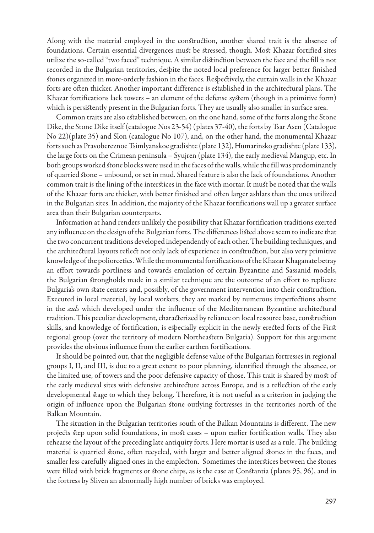Along with the material employed in the construction, another shared trait is the absence of foundations. Certain essential divergences must be stressed, though. Most Khazar fortified sites utilize the so-called "two faced" technique. A similar distinction between the face and the fill is not recorded in the Bulgarian territories, despite the noted local preference for larger better finished stones organized in more-orderly fashion in the faces. Respectively, the curtain walls in the Khazar forts are often thicker. Another important difference is established in the architectural plans. The Khazar fortifications lack towers – an element of the defense system (though in a primitive form) which is persistently present in the Bulgarian forts. They are usually also smaller in surface area.

Common traits are also established between, on the one hand, some of the forts along the Stone Dike, the Stone Dike itself (catalogue Nos 23-54) (plates 37-40), the forts by Tsar Asen (Catalogue No 22)(plate 35) and Slon (catalogue No 107), and, on the other hand, the monumental Khazar forts such as Pravobereznoe Tsimlyanskoe gradishte (plate 132), Humarinsko gradishte (plate 133), the large forts on the Crimean peninsula – Syujren (plate 134), the early medieval Mangup, etc. In both groups worked stone blocks were used in the faces of the walls, while the fill was predominantly of quarried stone – unbound, or set in mud. Shared feature is also the lack of foundations. Another common trait is the lining of the interstices in the face with mortar. It must be noted that the walls of the Khazar forts are thicker, with better finished and often larger ashlars than the ones utilized in the Bulgarian sites. In addition, the majority of the Khazar fortifications wall up a greater surface area than their Bulgarian counterparts.

Information at hand renders unlikely the possibility that Khazar fortification traditions exerted any influence on the design of the Bulgarian forts. The differences listed above seem to indicate that the two concurrent traditions developed independently of each other. The building techniques, and the architectural layouts reflect not only lack of experience in construction, but also very primitive knowledge of the poliorcetics. While the monumental fortifications of the Khazar Khaganate betray an effort towards portliness and towards emulation of certain Byzantine and Sassanid models, the Bulgarian strongholds made in a similar technique are the outcome of an effort to replicate Bulgaria's own state centers and, possibly, of the government intervention into their construction. Executed in local material, by local workers, they are marked by numerous imperfections absent in the *auls* which developed under the influence of the Mediterranean Byzantine architectural tradition. This peculiar development, characterized by reliance on local resource base, construction skills, and knowledge of fortification, is especially explicit in the newly erected forts of the First regional group (over the territory of modern Northeastern Bulgaria). Support for this argument provides the obvious influence from the earlier earthen fortifications.

It should be pointed out, that the negligible defense value of the Bulgarian fortresses in regional groups I, II, and III, is due to a great extent to poor planning, identified through the absence, or the limited use, of towers and the poor defensive capacity of those. This trait is shared by most of the early medieval sites with defensive architecture across Europe, and is a reflection of the early developmental stage to which they belong. Therefore, it is not useful as a criterion in judging the origin of influence upon the Bulgarian stone outlying fortresses in the territories north of the Balkan Mountain.

The situation in the Bulgarian territories south of the Balkan Mountains is different. The new projects step upon solid foundations, in most cases – upon earlier fortification walls. They also rehearse the layout of the preceding late antiquity forts. Here mortar is used as a rule. The building material is quarried stone, often recycled, with larger and better aligned stones in the faces, and smaller less carefully aligned ones in the emplecton. Sometimes the interstices between the stones were filled with brick fragments or stone chips, as is the case at Constantia (plates 95, 96), and in the fortress by Sliven an abnormally high number of bricks was employed.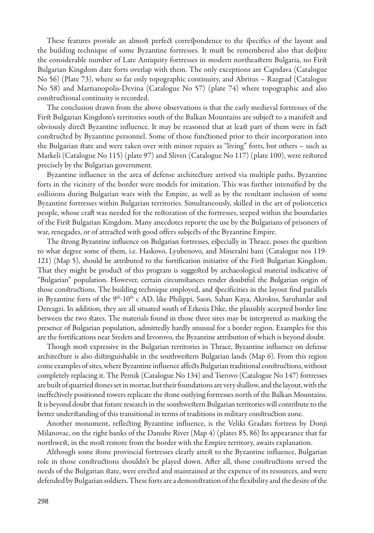These features provide an almost perfect correspondence to the specifics of the layout and the building technique of some Byzantine fortresses. It must be remembered also that despite the considerable number of Late Antiquity fortresses in modern northeastern Bulgaria, no First Bulgarian Kingdom date forts overlap with them. The only exceptions are Capidava (Catalogue No 56) (Plate 73), where so far only topographic continuity, and Abritus – Razgrad (Catalogue No 58) and Martianopolis-Devina (Catalogue No 57) (plate 74) where topographic and also constructional continuity is recorded.

The conclusion drawn from the above observations is that the early medieval fortresses of the First Bulgarian Kingdom's territories south of the Balkan Mountains are subject to a manifest and obviously direct Byzantine influence. It may be reasoned that at least part of them were in fact constructed by Byzantine personnel. Some of those functioned prior to their incorporation into the Bulgarian state and were taken over with minor repairs as "living" forts, but others – such as Markeli (Catalogue No 115) (plate 97) and Sliven (Catalogue No 117) (plate 100), were restored precisely by the Bulgarian government.

Byzantine influence in the area of defense architecture arrived via multiple paths. Byzantine forts in the vicinity of the border were models for imitation. This was further intensified by the collisions during Bulgarian wars with the Empire, as well as by the resultant inclusion of some Byzantine fortresses within Bulgarian territories. Simultaneously, skilled in the art of poliorcetics people, whose craft was needed for the restoration of the fortresses, seeped within the boundaries of the First Bulgarian Kingdom. Many anecdotes reporte the use by the Bulgarians of prisoners of war, renegades, or of attracted with good offers subjects of the Byzantine Empire.

The strong Byzantine influence on Bulgarian fortresses, especially in Thrace, poses the question to what degree some of them, i.e. Haskovo, Lyubenovo, and Mineralni bani (Catalogue nos 119- 121) (Map 5), should be attributed to the fortification initiative of the First Bulgarian Kingdom. That they might be product of this program is suggested by archaeological material indicative of "Bulgarian" population. However, certain circumstances render doubtful the Bulgarian origin of those constructions. The building technique employed, and specificities in the layout find parallels in Byzantine forts of the 9<sup>th</sup>-10<sup>th</sup> c AD, like Philippi, Saon, Sahan Kaya, Akrokus, Saruhanlar and Dereagzi. In addition, they are all situated south of Erkesia Dike, the plausibly accepted border line between the two states. The materials found in those three sites may be interpreted as marking the presence of Bulgarian population, admittedly hardly unusual for a border region. Examples for this are the fortifications near Sredets and Izvorovo, the Byzantine attribution of which is beyond doubt.

Though most expressive in the Bulgarian territories in Thrace, Byzantine influence on defense architecture is also distinguishable in the southwestern Bulgarian lands (Map 6). From this region come examples of sites, where Byzantine influence affects Bulgarian traditional constructions, without completely replacing it. The Pernik (Catalogue No 134) and Tserovo (Catalogue No 147) fortresses are built of quarried stones set in mortar, but their foundations are very shallow, and the layout, with the ineffectively positioned towers replicate the stone outlying fortresses north of the Balkan Mountains. It is beyond doubt that future research in the southwestern Bulgarian territories will contribute to the better understanding of this transitional in terms of traditions in military construction zone.

Another monument, reflecting Byzantine influence, is the Veliki Gradats fortress by Donji Milanovac, on the right banks of the Danube River (Map 4) (plates 85, 86) Its appearance that far northwest, in the most remote from the border with the Empire territory, awaits explanation.

Although some stone provincial fortresses clearly attest to the Byzantine influence, Bulgarian role in those constructions shouldn't be played down. After all, those constructions served the needs of the Bulgarian state, were erected and maintained at the expence of its resources, and were defended by Bulgarian soldiers. These forts are a demonstration of the flexibility and the desire of the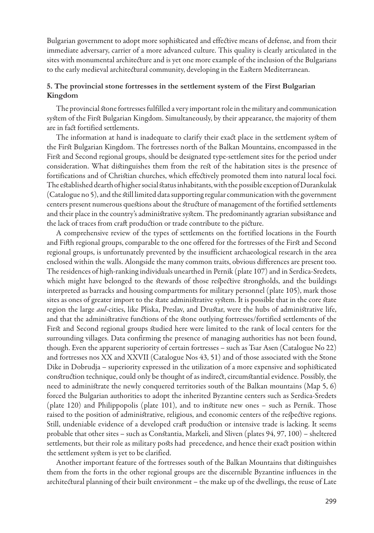Bulgarian government to adopt more sophisticated and effective means of defense, and from their immediate adversary, carrier of a more advanced culture. This quality is clearly articulated in the sites with monumental architecture and is yet one more example of the inclusion of the Bulgarians to the early medieval architectural community, developing in the Eastern Mediterranean.

## **5. The provincial stone fortresses in the settlement system of the First Bulgarian Kingdom**

The provincial stone fortresses fulfilled a very important role in the military and communication system of the First Bulgarian Kingdom. Simultaneously, by their appearance, the majority of them are in fact fortified settlements.

The information at hand is inadequate to clarify their exact place in the settlement system of the First Bulgarian Kingdom. The fortresses north of the Balkan Mountains, encompassed in the First and Second regional groups, should be designated type-settlement sites for the period under consideration. What distinguishes them from the rest of the habitation sites is the presence of fortifications and of Christian churches, which effectively promoted them into natural local foci. The established dearth of higher social status inhabitants, with the possible exception of Durankulak (Catalogue no 5), and the still limited data supporting regular communication with the government centers present numerous questions about the structure of management of the fortified settlements and their place in the country's administrative system. The predominantly agrarian subsistance and the lack of traces from craft production or trade contribute to the picture.

A comprehensive review of the types of settlements on the fortified locations in the Fourth and Fifth regional groups, comparable to the one offered for the fortresses of the First and Second regional groups, is unfortunately prevented by the insufficient archaeological research in the area enclosed within the walls. Alongside the many common traits, obvious differences are present too. The residences of high-ranking individuals unearthed in Pernik (plate 107) and in Serdica-Sredets, which might have belonged to the stewards of those respective strongholds, and the buildings interpreted as barracks and housing compartments for military personnel (plate 105), mark those sites as ones of greater import to the state administrative system. It is possible that in the core state region the large *aul*-cities, like Pliska, Preslav, and Drustar, were the hubs of administrative life, and that the administrative functions of the stone outlying fortresses/fortified settlements of the First and Second regional groups studied here were limited to the rank of local centers for the surrounding villages. Data confirming the presence of managing authorities has not been found, though. Even the apparent superiority of certain fortresses – such as Tsar Asen (Catalogue No 22) and fortresses nos XX and XXVII (Catalogue Nos 43, 51) and of those associated with the Stone Dike in Dobrudja – superiority expressed in the utilization of a more expensive and sophisticated construction technique, could only be thought of as indirect, circumstantial evidence. Possibly, the need to administrate the newly conquered territories south of the Balkan mountains (Map 5, 6) forced the Bulgarian authorities to adopt the inherited Byzantine centers such as Serdica-Sredets (plate 120) and Philippopolis (plate 101), and to institute new ones – such as Pernik. Those raised to the position of administrative, religious, and economic centers of the respective regions. Still, undeniable evidence of a developed craft production or intensive trade is lacking. It seems probable that other sites – such as Constantia, Markeli, and Sliven (plates 94, 97, 100) – sheltered settlements, but their role as military posts had precedence, and hence their exact position within the settlement system is yet to be clarified.

Another important feature of the fortresses south of the Balkan Mountains that distinguishes them from the forts in the other regional groups are the discernible Byzantine influences in the architectural planning of their built environment – the make up of the dwellings, the reuse of Late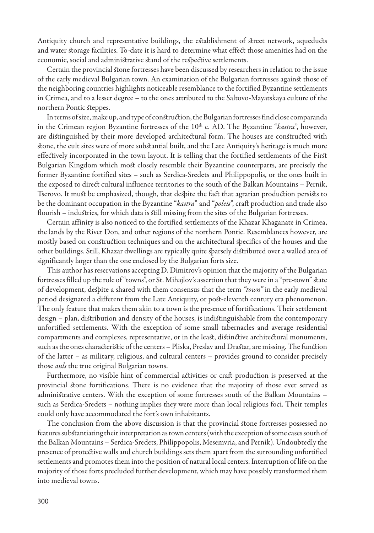Antiquity church and representative buildings, the establishment of street network, aqueducts and water storage facilities. To-date it is hard to determine what effect those amenities had on the economic, social and administrative stand of the respective settlements.

Certain the provincial stone fortresses have been discussed by researchers in relation to the issue of the early medieval Bulgarian town. An examination of the Bulgarian fortresses against those of the neighboring countries highlights noticeable resemblance to the fortified Byzantine settlements in Crimea, and to a lesser degree – to the ones attributed to the Saltovo-Mayatskaya culture of the northern Pontic steppes.

In terms of size, make up, and type of construction, the Bulgarian fortresses find close comparanda in the Crimean region Byzantine fortresses of the 10<sup>th</sup> c. AD. The Byzantine "*kastra*", however, are distinguished by their more developed architectural form. The houses are constructed with stone, the cult sites were of more substantial built, and the Late Antiquity's heritage is much more effectively incorporated in the town layout. It is telling that the fortified settlements of the First Bulgarian Kingdom which most closely resemble their Byzantine counterparts, are precisely the former Byzantine fortified sites – such as Serdica-Sredets and Philippopolis, or the ones built in the exposed to direct cultural influence territories to the south of the Balkan Mountains – Pernik, Tserovo. It must be emphasized, though, that despite the fact that agrarian production persists to be the dominant occupation in the Byzantine "*kastra*" and "*poleis*", craft production and trade also flourish – industries, for which data is still missing from the sites of the Bulgarian fortresses.

Certain affinity is also noticed to the fortified settlements of the Khazar Khaganate in Crimea, the lands by the River Don, and other regions of the northern Pontic. Resemblances however, are mostly based on construction techniques and on the architectural specifics of the houses and the other buildings. Still, Khazar dwellings are typically quite sparsely distributed over a walled area of significantly larger than the one enclosed by the Bulgarian forts size.

This author has reservations accepting D. Dimitrov's opinion that the majority of the Bulgarian fortresses filled up the role of "towns", or St. Mihajlov's assertion that they were in a "pre-town" state of development, despite a shared with them consensus that the term *"town"* in the early medieval period designated a different from the Late Antiquity, or post-eleventh century era phenomenon. The only feature that makes them akin to a town is the presence of fortifications. Their settlement design – plan, distribution and density of the houses, is indistinguishable from the contemporary unfortified settlements. With the exception of some small tabernacles and average residential compartments and complexes, representative, or in the least, distinctive architectural monuments, such as the ones characteristic of the centers – Pliska, Preslav and Drastar, are missing. The function of the latter – as military, religious, and cultural centers – provides ground to consider precisely those *auls* the true original Bulgarian towns.

Furthermore, no visible hint of commercial activities or craft production is preserved at the provincial stone fortifications. There is no evidence that the majority of those ever served as administrative centers. With the exception of some fortresses south of the Balkan Mountains – such as Serdica-Sredets – nothing implies they were more than local religious foci. Their temples could only have accommodated the fort's own inhabitants.

The conclusion from the above discussion is that the provincial stone fortresses possessed no features substantiating their interpretation as town centers (with the exception of some cases south of the Balkan Mountains – Serdica-Sredets, Philippopolis, Mesemvria, and Pernik). Undoubtedly the presence of protective walls and church buildings sets them apart from the surrounding unfortified settlements and promotes them into the position of natural local centers. Interruption of life on the majority of those forts precluded further development, which may have possibly transformed them into medieval towns.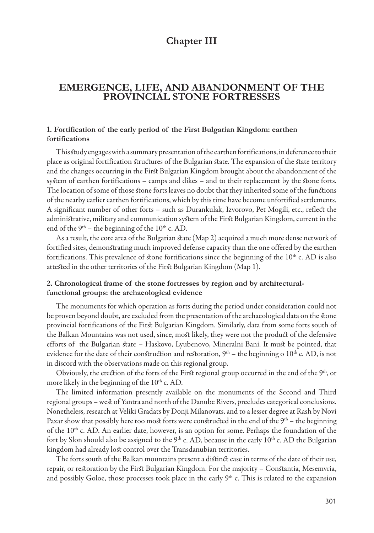# **Chapter III**

## **Emergence, life, and abandonment of the provincial stone fortresses**

### **1. Fortification of the early period of the First Bulgarian Kingdom: earthen fortifications**

This study engages with a summary presentation of the earthen fortifications, in deference to their place as original fortification structures of the Bulgarian state. The expansion of the state territory and the changes occurring in the First Bulgarian Kingdom brought about the abandonment of the system of earthen fortifications – camps and dikes – and to their replacement by the stone forts. The location of some of those stone forts leaves no doubt that they inherited some of the functions of the nearby earlier earthen fortifications, which by this time have become unfortified settlements. A significant number of other forts – such as Durankulak, Izvorovo, Pet Mogili, etc., reflect the administrative, military and communication system of the First Bulgarian Kingdom, current in the end of the  $9<sup>th</sup>$  – the beginning of the 10<sup>th</sup> c. AD.

As a result, the core area of the Bulgarian state (Map 2) acquired a much more dense network of fortified sites, demonstrating much improved defense capacity than the one offered by the earthen fortifications. This prevalence of stone fortifications since the beginning of the 10<sup>th</sup> c. AD is also attested in the other territories of the First Bulgarian Kingdom (Map 1).

## **2. Chronological frame of the stone fortresses by region and by architecturalfunctional groups: the archaeological evidence**

The monuments for which operation as forts during the period under consideration could not be proven beyond doubt, are excluded from the presentation of the archaeological data on the stone provincial fortifications of the First Bulgarian Kingdom. Similarly, data from some forts south of the Balkan Mountains was not used, since, most likely, they were not the product of the defensive efforts of the Bulgarian state – Haskovo, Lyubenovo, Mineralni Bani. It must be pointed, that evidence for the date of their construction and restoration,  $9<sup>th</sup>$  – the beginning o  $10<sup>th</sup>$  c. AD, is not in discord with the observations made on this regional group.

Obviously, the erection of the forts of the First regional group occurred in the end of the  $9<sup>th</sup>$ , or more likely in the beginning of the  $10<sup>th</sup>$  c. AD.

The limited information presently available on the monuments of the Second and Third regional groups – west of Yantra and north of the Danube Rivers, precludes categorical conclusions. Nonetheless, research at Veliki Gradats by Donji Milanovats, and to a lesser degree at Rash by Novi Pazar show that possibly here too most forts were constructed in the end of the  $9<sup>th</sup>$  – the beginning of the 10<sup>th</sup> c. AD. An earlier date, however, is an option for some. Perhaps the foundation of the fort by Slon should also be assigned to the  $9<sup>th</sup>$  c. AD, because in the early  $10<sup>th</sup>$  c. AD the Bulgarian kingdom had already lost control over the Transdanubian territories.

The forts south of the Balkan mountains present a distinct case in terms of the date of their use, repair, or restoration by the First Bulgarian Kingdom. For the majority – Constantia, Mesemvria, and possibly Goloe, those processes took place in the early  $9<sup>th</sup>$  c. This is related to the expansion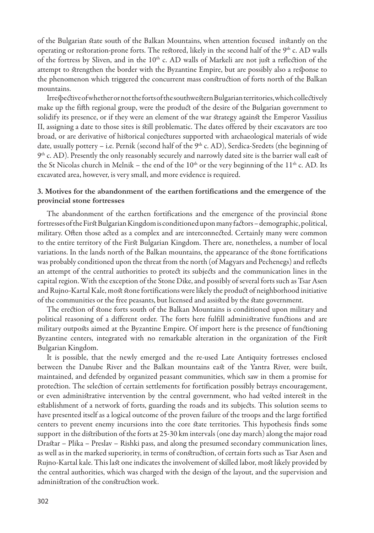of the Bulgarian state south of the Balkan Mountains, when attention focused instantly on the operating or restoration-prone forts. The restored, likely in the second half of the 9<sup>th</sup> c. AD walls of the fortress by Sliven, and in the 10<sup>th</sup> c. AD walls of Markeli are not just a reflection of the attempt to strengthen the border with the Byzantine Empire, but are possibly also a response to the phenomenon which triggered the concurrent mass construction of forts north of the Balkan mountains.

Irrespective of whether or not the forts of the southwestern Bulgarian territories, which collectively make up the fifth regional group, were the product of the desire of the Bulgarian government to solidify its presence, or if they were an element of the war strategy against the Emperor Vassilius II, assigning a date to those sites is still problematic. The dates offered by their excavators are too broad, or are derivative of historical conjectures supported with archaeological materials of wide date, usually pottery – i.e. Pernik (second half of the  $9<sup>th</sup>$  c. AD), Serdica-Sredets (the beginning of  $9<sup>th</sup>$  c. AD). Presently the only reasonably securely and narrowly dated site is the barrier wall east of the St Nicolas church in Melnik – the end of the  $10<sup>th</sup>$  or the very beginning of the  $11<sup>th</sup>$  c. AD. Its excavated area, however, is very small, and more evidence is required.

### **3. Motives for the abandonment of the earthen fortifications and the emergence of the provincial stone fortresses**

The abandonment of the earthen fortifications and the emergence of the provincial stone fortresses of the First Bulgarian Kingdom is conditioned upon many factors – demographic, political, military. Often those acted as a complex and are interconnected. Certainly many were common to the entire territory of the First Bulgarian Kingdom. There are, nonetheless, a number of local variations. In the lands north of the Balkan mountains, the appearance of the stone fortifications was probably conditioned upon the threat from the north (of Magyars and Pechenegs) and reflects an attempt of the central authorities to protect its subjects and the communication lines in the capital region. With the exception of the Stone Dike, and possibly of several forts such as Tsar Asen and Rujno-Kartal Kale, most stone fortifications were likely the product of neighborhood initiative of the communities or the free peasants, but licensed and assisted by the state government.

The erection of stone forts south of the Balkan Mountains is conditioned upon military and political reasoning of a different order. The forts here fulfill administrative functions and are military outposts aimed at the Byzantine Empire. Of import here is the presence of functioning Byzantine centers, integrated with no remarkable alteration in the organization of the First Bulgarian Kingdom.

It is possible, that the newly emerged and the re-used Late Antiquity fortresses enclosed between the Danube River and the Balkan mountains east of the Yantra River, were built, maintained, and defended by organized peasant communities, which saw in them a promise for protection. The selection of certain settlements for fortification possibly betrays encouragement, or even administrative intervention by the central government, who had vested interest in the establishment of a network of forts, guarding the roads and its subjects. This solution seems to have presented itself as a logical outcome of the proven failure of the troops and the large fortified centers to prevent enemy incursions into the core state territories. This hypothesis finds some support in the distribution of the forts at 25-30 km intervals (one day march) along the major road Drastar – Plika – Preslav – Rishki pass, and along the presumed secondary communication lines, as well as in the marked superiority, in terms of construction, of certain forts such as Tsar Asen and Rujno-Kartal kale. This last one indicates the involvement of skilled labor, most likely provided by the central authorities, which was charged with the design of the layout, and the supervision and administration of the construction work.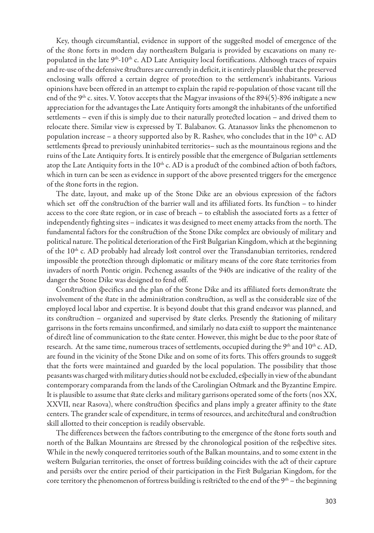Key, though circumstantial, evidence in support of the suggested model of emergence of the of the stone forts in modern day northeastern Bulgaria is provided by excavations on many repopulated in the late 9<sup>th</sup>-10<sup>th</sup> c. AD Late Antiquity local fortifications. Although traces of repairs and re-use of the defensive structures are currently in deficit, it is entirely plausible that the preserved enclosing walls offered a certain degree of protection to the settlement's inhabitants. Various opinions have been offered in an attempt to explain the rapid re-population of those vacant till the end of the 9<sup>th</sup> c. sites. V. Yotov accepts that the Magyar invasions of the  $894(5)$ -896 instigate a new appreciation for the advantages the Late Antiquity forts amongst the inhabitants of the unfortified settlements – even if this is simply due to their naturally protected location – and drived them to relocate there. Similar view is expressed by T. Balabanov. G. Atanassov links the phenomenon to population increase – a theory supported also by R. Rashev, who concludes that in the  $10<sup>th</sup>$  c. AD settlements spread to previously uninhabited territories– such as the mountainous regions and the ruins of the Late Antiquity forts. It is entirely possible that the emergence of Bulgarian settlements atop the Late Antiquity forts in the  $10<sup>th</sup>$  c. AD is a product of the combined action of both factors, which in turn can be seen as evidence in support of the above presented triggers for the emergence of the stone forts in the region.

The date, layout, and make up of the Stone Dike are an obvious expression of the factors which set off the construction of the barrier wall and its affiliated forts. Its function – to hinder access to the core state region, or in case of breach – to establish the associated forts as a fetter of independently fighting sites – indicates it was designed to meet enemy attacks from the north. The fundamental factors for the construction of the Stone Dike complex are obviously of military and political nature. The political deterioration of the First Bulgarian Kingdom, which at the beginning of the 10<sup>th</sup> c. AD probably had already lost control over the Transdanubian territories, rendered impossible the protection through diplomatic or military means of the core state territories from invaders of north Pontic origin. Pecheneg assaults of the 940s are indicative of the reality of the danger the Stone Dike was designed to fend off.

Construction specifics and the plan of the Stone Dike and its affiliated forts demonstrate the involvement of the state in the administration construction, as well as the considerable size of the employed local labor and expertise. It is beyond doubt that this grand endeavor was planned, and its construction – organized and supervised by state clerks. Presently the stationing of military garrisons in the forts remains unconfirmed, and similarly no data exist to support the maintenance of direct line of communication to the state center. However, this might be due to the poor state of research. At the same time, numerous traces of settlements, occupied during the  $9<sup>th</sup>$  and  $10<sup>th</sup>$  c. AD, are found in the vicinity of the Stone Dike and on some of its forts. This offers grounds to suggest that the forts were maintained and guarded by the local population. The possibility that those peasants was charged with military duties should not be excluded, especially in view of the abundant contemporary comparanda from the lands of the Carolingian Ostmark and the Byzantine Empire. It is plausible to assume that state clerks and military garrisons operated some of the forts (nos ХХ, ХХVII, near Rasova), where construction specifics and plans imply a greater affinity to the state centers. The grander scale of expenditure, in terms of resources, and architectural and construction skill allotted to their conception is readily observable.

The differences between the factors contributing to the emergence of the stone forts south and north of the Balkan Mountains are stressed by the chronological position of the respective sites. While in the newly conquered territories south of the Balkan mountains, and to some extent in the western Bulgarian territories, the onset of fortress building coincides with the act of their capture and persists over the entire period of their participation in the First Bulgarian Kingdom, for the core territory the phenomenon of fortress building is restricted to the end of the  $9<sup>th</sup>$  – the beginning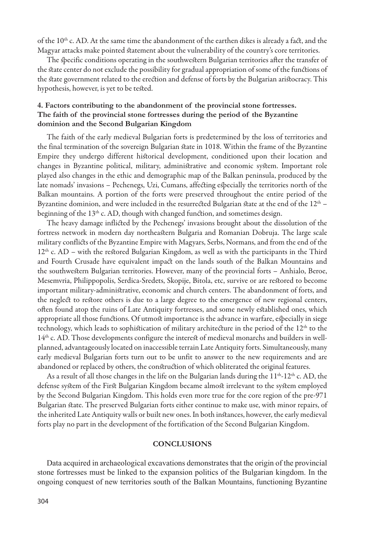of the 10th c. AD. At the same time the abandonment of the earthen dikes is already a fact, and the Magyar attacks make pointed statement about the vulnerability of the country's core territories.

The specific conditions operating in the southwestern Bulgarian territories after the transfer of the state center do not exclude the possibility for gradual appropriation of some of the functions of the state government related to the erection and defense of forts by the Bulgarian aristocracy. This hypothesis, however, is yet to be tested.

## **4. Factors contributing to the abandonment of the provincial stone fortresses. The faith of the provincial stone fortresses during the period of the Byzantine dominion and the Second Bulgarian Kingdom**

The faith of the early medieval Bulgarian forts is predetermined by the loss of territories and the final termination of the sovereign Bulgarian state in 1018. Within the frame of the Byzantine Empire they undergo different historical development, conditioned upon their location and changes in Byzantine political, military, administrative and economic system. Important role played also changes in the ethic and demographic map of the Balkan peninsula, produced by the late nomads' invasions – Pechenegs, Uzi, Cumans, affecting especially the territories north of the Balkan mountains. A portion of the forts were preserved throughout the entire period of the Byzantine dominion, and were included in the resurrected Bulgarian state at the end of the  $12<sup>th</sup>$  – beginning of the 13<sup>th</sup> c. AD, though with changed function, and sometimes design.

The heavy damage inflicted by the Pechenegs' invasions brought about the dissolution of the fortress network in modern day northeastern Bulgaria and Romanian Dobruja. The large scale military conflicts of the Byzantine Empire with Magyars, Serbs, Normans, and from the end of the  $12<sup>th</sup>$  c. AD – with the restored Bulgarian Kingdom, as well as with the participants in the Third and Fourth Crusade have equivalent impact on the lands south of the Balkan Mountains and the southwestern Bulgarian territories. However, many of the provincial forts – Anhialo, Beroe, Mesemvria, Philippopolis, Serdica-Sredets, Skopije, Bitola, etc, survive or are restored to become important military-administrative, economic and church centers. The abandonment of forts, and the neglect to restore others is due to a large degree to the emergence of new regional centers, often found atop the ruins of Late Antiquity fortresses, and some newly established ones, which appropriate all those functions. Of utmost importance is the advance in warfare, especially in siege technology, which leads to sophistication of military architecture in the period of the  $12<sup>th</sup>$  to the 14th c. AD. Those developments configure the interest of medieval monarchs and builders in wellplanned, advantageously located on inaccessible terrain Late Antiquity forts. Simultaneously, many early medieval Bulgarian forts turn out to be unfit to answer to the new requirements and are abandoned or replaced by others, the construction of which obliterated the original features.

As a result of all those changes in the life on the Bulgarian lands during the  $11<sup>th</sup>$ -12<sup>th</sup> c. AD, the defense system of the First Bulgarian Kingdom became almost irrelevant to the system employed by the Second Bulgarian Kingdom. This holds even more true for the core region of the pre-971 Bulgarian state. The preserved Bulgarian forts either continue to make use, with minor repairs, of the inherited Late Antiquity walls or built new ones. In both instances, however, the early medieval forts play no part in the development of the fortification of the Second Bulgarian Kingdom.

#### **Conclusions**

Data acquired in archaeological excavations demonstrates that the origin of the provincial stone fortresses must be linked to the expansion politics of the Bulgarian kingdom. In the ongoing conquest of new territories south of the Balkan Mountains, functioning Byzantine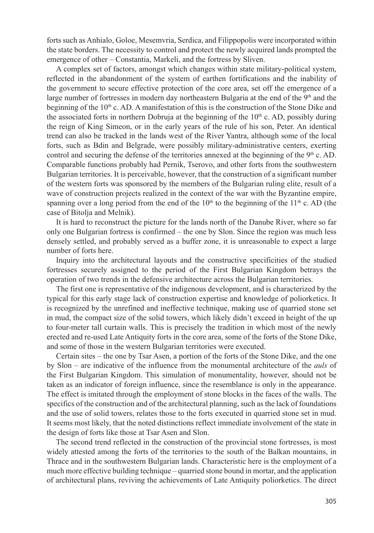forts such as Anhialo, Goloe, Mesemvria, Serdica, and Filippopolis were incorporated within the state borders. The necessity to control and protect the newly acquired lands prompted the emergence of other – Constantia, Markeli, and the fortress by Sliven.

A complex set of factors, amongst which changes within state military-political system, reflected in the abandonment of the system of earthen fortifications and the inability of the government to secure effective protection of the core area, set off the emergence of a large number of fortresses in modern day northeastern Bulgaria at the end of the  $9<sup>th</sup>$  and the beginning of the  $10<sup>th</sup>$  c. AD. A manifestation of this is the construction of the Stone Dike and the associated forts in northern Dobruja at the beginning of the  $10<sup>th</sup>$  c. AD, possibly during the reign of King Simeon, or in the early years of the rule of his son, Peter. An identical trend can also be tracked in the lands west of the River Yantra, although some of the local forts, such as Bdin and Belgrade, were possibly military-administrative centers, exerting control and securing the defense of the territories annexed at the beginning of the 9<sup>th</sup> c. AD. Comparable functions probably had Pernik, Tserovo, and other forts from the southwestern Bulgarian territories. It is perceivable, however, that the construction of a significant number of the western forts was sponsored by the members of the Bulgarian ruling elite, result of a wave of construction projects realized in the context of the war with the Byzantine empire, spanning over a long period from the end of the  $10<sup>th</sup>$  to the beginning of the  $11<sup>th</sup>$  c. AD (the case of Bitolja and Melnik).

It is hard to reconstruct the picture for the lands north of the Danube River, where so far only one Bulgarian fortress is confirmed – the one by Slon. Since the region was much less densely settled, and probably served as a buffer zone, it is unreasonable to expect a large number of forts here.

Inquiry into the architectural layouts and the constructive specificities of the studied fortresses securely assigned to the period of the First Bulgarian Kingdom betrays the operation of two trends in the defensive architecture across the Bulgarian territories.

The first one is representative of the indigenous development, and is characterized by the typical for this early stage lack of construction expertise and knowledge of poliorketics. It is recognized by the unrefined and ineffective technique, making use of quarried stone set in mud, the compact size of the solid towers, which likely didn't exceed in height of the up to four-meter tall curtain walls. This is precisely the tradition in which most of the newly erected and re-used Late Antiquity forts in the core area, some of the forts of the Stone Dike, and some of those in the western Bulgarian territories were executed.

Certain sites – the one by Tsar Asen, a portion of the forts of the Stone Dike, and the one by Slon – are indicative of the influence from the monumental architecture of the *auls* of the First Bulgarian Kingdom. This simulation of monumentality, however, should not be taken as an indicator of foreign influence, since the resemblance is only in the appearance. The effect is imitated through the employment of stone blocks in the faces of the walls. The specifics of the construction and of the architectural planning, such as the lack of foundations and the use of solid towers, relates those to the forts executed in quarried stone set in mud. It seems most likely, that the noted distinctions reflect immediate involvement of the state in the design of forts like those at Tsar Asen and Slon.

The second trend reflected in the construction of the provincial stone fortresses, is most widely attested among the forts of the territories to the south of the Balkan mountains, in Thrace and in the southwestern Bulgarian lands. Characteristic here is the employment of a much more effective building technique – quarried stone bound in mortar, and the application of architectural plans, reviving the achievements of Late Antiquity poliorketics. The direct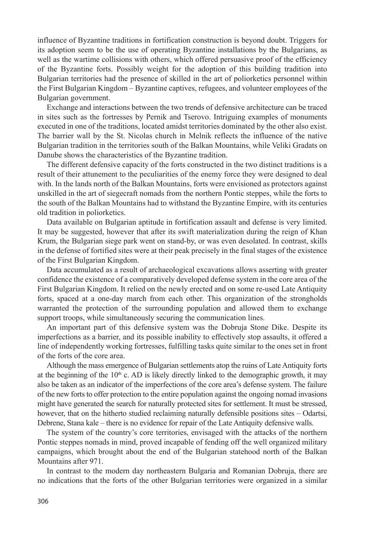influence of Byzantine traditions in fortification construction is beyond doubt. Triggers for its adoption seem to be the use of operating Byzantine installations by the Bulgarians, as well as the wartime collisions with others, which offered persuasive proof of the efficiency of the Byzantine forts. Possibly weight for the adoption of this building tradition into Bulgarian territories had the presence of skilled in the art of poliorketics personnel within the First Bulgarian Kingdom – Byzantine captives, refugees, and volunteer employees of the Bulgarian government.

Exchange and interactions between the two trends of defensive architecture can be traced in sites such as the fortresses by Pernik and Tserovo. Intriguing examples of monuments executed in one of the traditions, located amidst territories dominated by the other also exist. The barrier wall by the St. Nicolas church in Melnik reflects the influence of the native Bulgarian tradition in the territories south of the Balkan Mountains, while Veliki Gradats on Danube shows the characteristics of the Byzantine tradition.

The different defensive capacity of the forts constructed in the two distinct traditions is a result of their attunement to the peculiarities of the enemy force they were designed to deal with. In the lands north of the Balkan Mountains, forts were envisioned as protectors against unskilled in the art of siegecraft nomads from the northern Pontic steppes, while the forts to the south of the Balkan Mountains had to withstand the Byzantine Empire, with its centuries old tradition in poliorketics.

Data available on Bulgarian aptitude in fortification assault and defense is very limited. It may be suggested, however that after its swift materialization during the reign of Khan Krum, the Bulgarian siege park went on stand-by, or was even desolated. In contrast, skills in the defense of fortified sites were at their peak precisely in the final stages of the existence of the First Bulgarian Kingdom.

Data accumulated as a result of archaeological excavations allows asserting with greater confidence the existence of a comparatively developed defense system in the core area of the First Bulgarian Kingdom. It relied on the newly erected and on some re-used Late Antiquity forts, spaced at a one-day march from each other. This organization of the strongholds warranted the protection of the surrounding population and allowed them to exchange support troops, while simultaneously securing the communication lines.

An important part of this defensive system was the Dobruja Stone Dike. Despite its imperfections as a barrier, and its possible inability to effectively stop assaults, it offered a line of independently working fortresses, fulfilling tasks quite similar to the ones set in front of the forts of the core area.

Although the mass emergence of Bulgarian settlements atop the ruins of Late Antiquity forts at the beginning of the  $10<sup>th</sup>$  c. AD is likely directly linked to the demographic growth, it may also be taken as an indicator of the imperfections of the core area's defense system. The failure of the new forts to offer protection to the entire population against the ongoing nomad invasions might have generated the search for naturally protected sites for settlement. It must be stressed, however, that on the hitherto studied reclaiming naturally defensible positions sites – Odartsi, Debrene, Stana kale – there is no evidence for repair of the Late Antiquity defensive walls.

The system of the country's core territories, envisaged with the attacks of the northern Pontic steppes nomads in mind, proved incapable of fending off the well organized military campaigns, which brought about the end of the Bulgarian statehood north of the Balkan Mountains after 971.

In contrast to the modern day northeastern Bulgaria and Romanian Dobruja, there are no indications that the forts of the other Bulgarian territories were organized in a similar